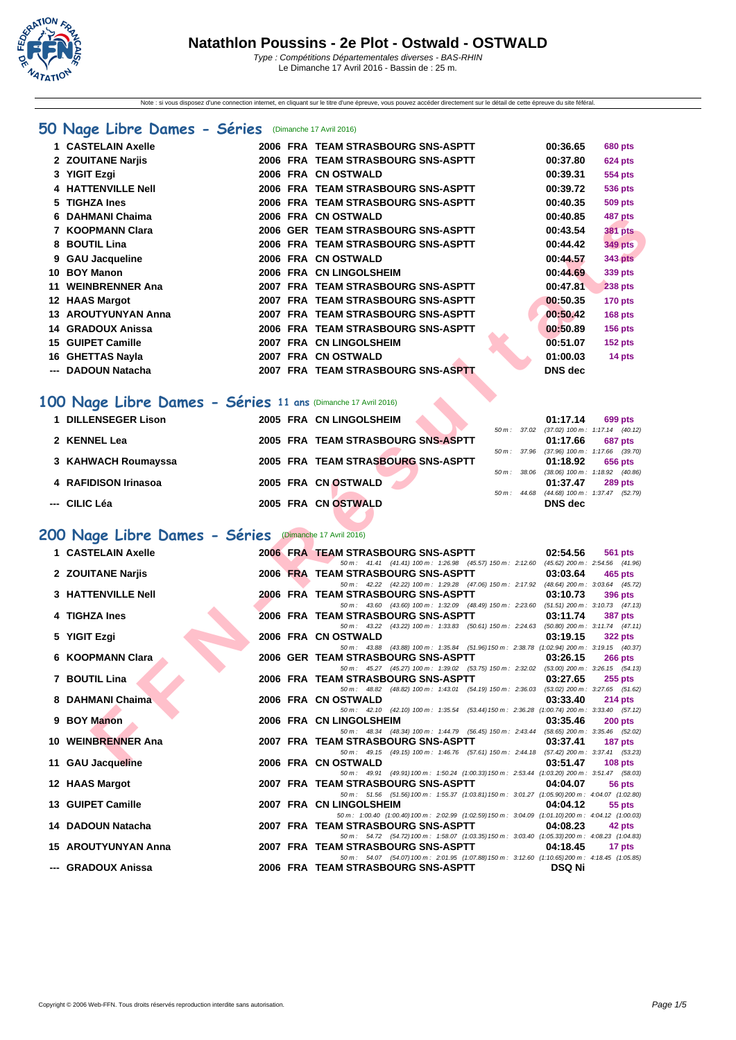

Note : si vous disposez d'une connection internet, en cliquant sur le titre d'une épreuve, vous pouvez accéder directement sur le détail de cette épreuve du site féféral.

## **[50 Na](http://www.ffnatation.fr/webffn/index.php)ge Libre Dames - Séries** (Dimanche 17 Avril 2016)

|     | 1 CASTELAIN Axelle         |      | 2006 FRA TEAM STRASBOURG SNS-ASPTT   | 00:36.65       | <b>680 pts</b> |
|-----|----------------------------|------|--------------------------------------|----------------|----------------|
|     | 2 ZOUITANE Narjis          |      | 2006 FRA TEAM STRASBOURG SNS-ASPTT   | 00:37.80       | <b>624 pts</b> |
|     | 3 YIGIT Ezgi               |      | 2006 FRA CN OSTWALD                  | 00:39.31       | 554 pts        |
|     | 4 HATTENVILLE Nell         |      | 2006 FRA TEAM STRASBOURG SNS-ASPTT   | 00:39.72       | 536 pts        |
|     | 5 TIGHZA Ines              |      | 2006 FRA TEAM STRASBOURG SNS-ASPTT   | 00:40.35       | <b>509 pts</b> |
|     | 6 DAHMANI Chaima           |      | 2006 FRA CN OSTWALD                  | 00:40.85       | 487 pts        |
|     | 7 KOOPMANN Clara           |      | 2006 GER TEAM STRASBOURG SNS-ASPTT   | 00:43.54       | <b>381 pts</b> |
|     | 8 BOUTIL Lina              |      | 2006 FRA TEAM STRASBOURG SNS-ASPTT   | 00:44.42       | <b>349 pts</b> |
|     | 9 GAU Jacqueline           |      | 2006 FRA CN OSTWALD                  | 00:44.57       | <b>343 pts</b> |
| 10  | <b>BOY Manon</b>           |      | 2006 FRA CN LINGOLSHEIM              | 00:44.69       | 339 pts        |
| 11  | <b>WEINBRENNER Ana</b>     | 2007 | <b>FRA TEAM STRASBOURG SNS-ASPTT</b> | 00:47.81       | <b>238 pts</b> |
|     | 12 HAAS Margot             |      | 2007 FRA TEAM STRASBOURG SNS-ASPTT   | 00:50.35       | $170$ pts      |
|     | <b>13 AROUTYUNYAN Anna</b> |      | 2007 FRA TEAM STRASBOURG SNS-ASPTT   | 00:50.42       | $168$ pts      |
| 14  | <b>GRADOUX Anissa</b>      |      | 2006 FRA TEAM STRASBOURG SNS-ASPTT   | 00:50.89       | $156$ pts      |
| 15  | <b>GUIPET Camille</b>      |      | 2007 FRA CN LINGOLSHEIM              | 00:51.07       | $152$ pts      |
| 16. | <b>GHETTAS Nayla</b>       | 2007 | <b>FRA CN OSTWALD</b>                | 01:00.03       | 14 pts         |
|     | <b>DADOUN Natacha</b>      |      | 2007 FRA TEAM STRASBOURG SNS-ASPTT   | <b>DNS</b> dec |                |

## **100 Nage Libre Dames - Séries 11 ans** (Dimanche 17 Avril 2016)

| 1 DILLENSEGER Lison  | 2005 FRA CN LINGOLSHEIM            |                          | 01:17.14<br>699 pts                                               |
|----------------------|------------------------------------|--------------------------|-------------------------------------------------------------------|
| 2 KENNEL Lea         | 2005 FRA TEAM STRASBOURG SNS-ASPTT | 50 m : 37.02             | $(37.02)$ 100 m : 1:17.14 $(40.12)$<br>01:17.66<br>687 pts        |
| 3 KAHWACH Roumayssa  | 2005 FRA TEAM STRASBOURG SNS-ASPTT | $50 \, \text{m}$ : 37.96 | $(37.96)$ 100 m : 1:17.66 $(39.70)$<br>01:18.92<br>656 pts        |
| 4 RAFIDISON Irinasoa | 2005 FRA CN OSTWALD                | 50 m: 38.06              | $(38.06)$ 100 m : 1:18.92 $(40.86)$<br>01:37.47<br><b>289 pts</b> |
| --- CILIC Léa        | 2005 FRA CN OSTWALD                | $50 \text{ m}$ : 44.68   | $(44.68)$ 100 m : 1:37.47 $(52.79)$<br>DNS dec                    |

## **200 Nage Libre Dames - Séries** (Dimanche 17 Avril 2016)

| DAHMANI Chaima                                                                      |  | 2006 FRA CNOSTWALD                                                                                                                    |              | 00:40.85                                               | 487 pts                                        |
|-------------------------------------------------------------------------------------|--|---------------------------------------------------------------------------------------------------------------------------------------|--------------|--------------------------------------------------------|------------------------------------------------|
| 7 KOOPMANN Clara                                                                    |  | 2006 GER TEAM STRASBOURG SNS-ASPTT                                                                                                    |              | 00:43.54                                               | 381 pts                                        |
| 8 BOUTIL Lina                                                                       |  | 2006 FRA TEAM STRASBOURG SNS-ASPTT                                                                                                    |              | 00:44.42                                               | <b>349 pts</b>                                 |
| 9 GAU Jacqueline                                                                    |  | 2006 FRA CN OSTWALD                                                                                                                   |              | 00:44.57                                               | <b>343 pts</b>                                 |
| 10 BOY Manon                                                                        |  | 2006 FRA CN LINGOLSHEIM                                                                                                               |              | 00:44.69                                               | 339 pts                                        |
| 11 WEINBRENNER Ana                                                                  |  | 2007 FRA TEAM STRASBOURG SNS-ASPTT                                                                                                    |              | 00:47.81                                               | <b>238 pts</b>                                 |
| 12 HAAS Margot                                                                      |  | 2007 FRA TEAM STRASBOURG SNS-ASPTT                                                                                                    |              | 00:50.35                                               | <b>170 pts</b>                                 |
| 13 AROUTYUNYAN Anna                                                                 |  | 2007 FRA TEAM STRASBOURG SNS-ASPTT                                                                                                    |              | 00:50.42                                               | <b>168 pts</b>                                 |
| 14 GRADOUX Anissa                                                                   |  | 2006 FRA TEAM STRASBOURG SNS-ASPTT                                                                                                    |              | 00:50.89                                               | <b>156 pts</b>                                 |
| 15 GUIPET Camille                                                                   |  | 2007 FRA CN LINGOLSHEIM                                                                                                               |              | 00:51.07                                               | <b>152 pts</b>                                 |
| 16 GHETTAS Nayla                                                                    |  | 2007 FRA CN OSTWALD                                                                                                                   |              | 01:00.03                                               | 14 pts                                         |
| --- DADOUN Natacha                                                                  |  | 2007 FRA TEAM STRASBOURG SNS-ASPTT                                                                                                    |              | <b>DNS</b> dec                                         |                                                |
| 00 Nage Libre Dames - Séries 11 ans (Dimanche 17 Avril 2016)<br>1 DILLENSEGER Lison |  | 2005 FRA CN LINGOLSHEIM                                                                                                               |              |                                                        |                                                |
|                                                                                     |  |                                                                                                                                       |              | 01:17.14<br>50 m: 37.02 (37.02) 100 m: 1:17.14 (40.12) | 699 pts                                        |
| 2 KENNEL Lea                                                                        |  | 2005 FRA TEAM STRASBOURG SNS-ASPTT                                                                                                    |              | 01:17.66                                               | 687 pts                                        |
|                                                                                     |  | 2005 FRA TEAM STRASBOURG SNS-ASPTT                                                                                                    |              | 50 m: 37.96 (37.96) 100 m: 1:17.66 (39.70)             |                                                |
| 3 KAHWACH Roumayssa                                                                 |  |                                                                                                                                       | 50 m: 38.06  | 01:18.92                                               | 656 pts<br>$(38.06)$ 100 m : 1:18.92 $(40.86)$ |
| 4 RAFIDISON Irinasoa                                                                |  | 2005 FRA CN OSTWALD                                                                                                                   |              | 01:37.47                                               | <b>289 pts</b>                                 |
| --- CILIC Léa                                                                       |  | 2005 FRA CN OSTWALD                                                                                                                   | 50 m : 44.68 | <b>DNS</b> dec                                         | $(44.68)$ 100 m : 1:37.47 $(52.79)$            |
|                                                                                     |  |                                                                                                                                       |              |                                                        |                                                |
| 00 Nage Libre Dames - Séries (Dimanche 17 Avril 2016)<br>1 CASTELAIN Axelle         |  | 2006 FRA TEAM STRASBOURG SNS-ASPTT                                                                                                    |              | 02:54.56                                               | 561 pts                                        |
|                                                                                     |  | 50 m: 41.41 (41.41) 100 m: 1:26.98 (45.57) 150 m: 2:12.60 (45.62) 200 m: 2:54.56 (41.96)                                              |              |                                                        |                                                |
| 2 ZOUITANE Narjis                                                                   |  | 2006 FRA TEAM STRASBOURG SNS-ASPTT                                                                                                    |              | 03:03.64                                               | 465 pts                                        |
| <b>3 HATTENVILLE Nell</b>                                                           |  | 50 m: 42.22 (42.22) 100 m: 1:29.28 (47.06) 150 m: 2:17.92 (48.64) 200 m: 3:03.64 (45.72)<br><b>2006 FRA TEAM STRASBOURG SNS-ASPTT</b> |              | 03:10.73                                               | 396 pts                                        |
|                                                                                     |  | 50 m: 43.60 (43.60) 100 m: 1:32.09 (48.49) 150 m: 2:23.60 (51.51) 200 m: 3:10.73 (47.13)                                              |              |                                                        |                                                |
| 4 TIGHZA Ines                                                                       |  | 2006 FRA TEAM STRASBOURG SNS-ASPTT                                                                                                    |              | 03:11.74                                               | <b>387 pts</b>                                 |
| 5 YIGIT Ezgi                                                                        |  | 50 m: 43.22 (43.22) 100 m: 1:33.83 (50.61) 150 m: 2:24.63 (50.80) 200 m: 3:11.74 (47.11)<br>2006 FRA CN OSTWALD                       |              | 03:19.15                                               | <b>322 pts</b>                                 |
|                                                                                     |  | 50 m: 43.88 (43.88) 100 m: 1:35.84 (51.96) 150 m: 2:38.78 (1:02.94) 200 m: 3:19.15 (40.37)                                            |              |                                                        |                                                |
| 6 KOOPMANN Clara                                                                    |  | 2006 GER TEAM STRASBOURG SNS-ASPTT                                                                                                    |              | 03:26.15                                               | <b>266 pts</b>                                 |
| 7 BOUTIL Lina                                                                       |  | 50 m: 45.27 (45.27) 100 m: 1:39.02 (53.75) 150 m: 2:32.02 (53.00) 200 m: 3:26.15 (54.13)<br>2006 FRA TEAM STRASBOURG SNS-ASPTT        |              | 03:27.65                                               | $255$ pts                                      |
|                                                                                     |  | 50 m: 48.82 (48.82) 100 m: 1:43.01 (54.19) 150 m: 2:36.03 (53.02) 200 m: 3:27.65 (51.62)                                              |              |                                                        |                                                |
| 8 DAHMANI Chaima                                                                    |  | 2006 FRA CN OSTWALD                                                                                                                   |              | 03:33.40                                               | 214 pts                                        |
| 9 BOY Manon                                                                         |  | 50 m : 42.10 (42.10) 100 m : 1:35.54 (53.44) 150 m : 2:36.28 (1:00.74) 200 m : 3:33.40 (57.12)<br>2006 FRA CN LINGOLSHEIM             |              | 03:35.46                                               | $200$ pts                                      |
|                                                                                     |  | 50 m: 48.34 (48.34) 100 m: 1:44.79 (56.45) 150 m: 2:43.44 (58.65) 200 m: 3:35.46 (52.02)                                              |              |                                                        |                                                |
| 10 WEINBRENNER Ana                                                                  |  | 2007 FRA TEAM STRASBOURG SNS-ASPTT                                                                                                    |              | 03:37.41                                               | 187 pts                                        |
| 11 GAU Jacqueline                                                                   |  | 50 m: 49.15 (49.15) 100 m: 1:46.76 (57.61) 150 m: 2:44.18 (57.42) 200 m: 3:37.41 (53.23)<br>2006 FRA CN OSTWALD                       |              | 03:51.47                                               | $108$ pts                                      |
|                                                                                     |  | 50 m: 49.91 (49.91) 100 m: 1:50.24 (1:00.33) 150 m: 2:53.44 (1:03.20) 200 m: 3:51.47 (58.03)                                          |              |                                                        |                                                |
| 12 HAAS Margot                                                                      |  | 2007 FRA TEAM STRASBOURG SNS-ASPTT<br>50 m: 51.56 (51.56) 100 m: 1:55.37 (1:03.81) 150 m: 3:01.27 (1:05.90) 200 m: 4:04.07 (1:02.80)  |              | 04:04.07                                               | 56 pts                                         |
| <b>13 GUIPET Camille</b>                                                            |  | 2007 FRA CN LINGOLSHEIM                                                                                                               |              | 04:04.12                                               | 55 pts                                         |
|                                                                                     |  | 50 m: 1:00.40 (1:00.40) 100 m: 2:02.99 (1:02.59) 150 m: 3:04.09 (1:01.10) 200 m: 4:04.12 (1:00.03)                                    |              |                                                        |                                                |
| 14 DADOUN Natacha                                                                   |  | 2007 FRA TEAM STRASBOURG SNS-ASPTT<br>50 m: 54.72 (54.72) 100 m: 1:58.07 (1:03.35) 150 m: 3:03.40 (1:05.33) 200 m: 4:08.23 (1:04.83)  |              | 04:08.23                                               | 42 pts                                         |
| 15 AROUTYUNYAN Anna                                                                 |  | 2007 FRA TEAM STRASBOURG SNS-ASPTT                                                                                                    |              | 04:18.45                                               | 17 pts                                         |
|                                                                                     |  | 50 m: 54.07 (54.07) 100 m: 2:01.95 (1:07.88) 150 m: 3:12.60 (1:10.65) 200 m: 4:18.45 (1:05.85)                                        |              |                                                        |                                                |
| ---  GRADOUX Anissa                                                                 |  | 2006 FRA TEAM STRASBOURG SNS-ASPTT                                                                                                    |              | <b>DSQ Ni</b>                                          |                                                |
|                                                                                     |  |                                                                                                                                       |              |                                                        |                                                |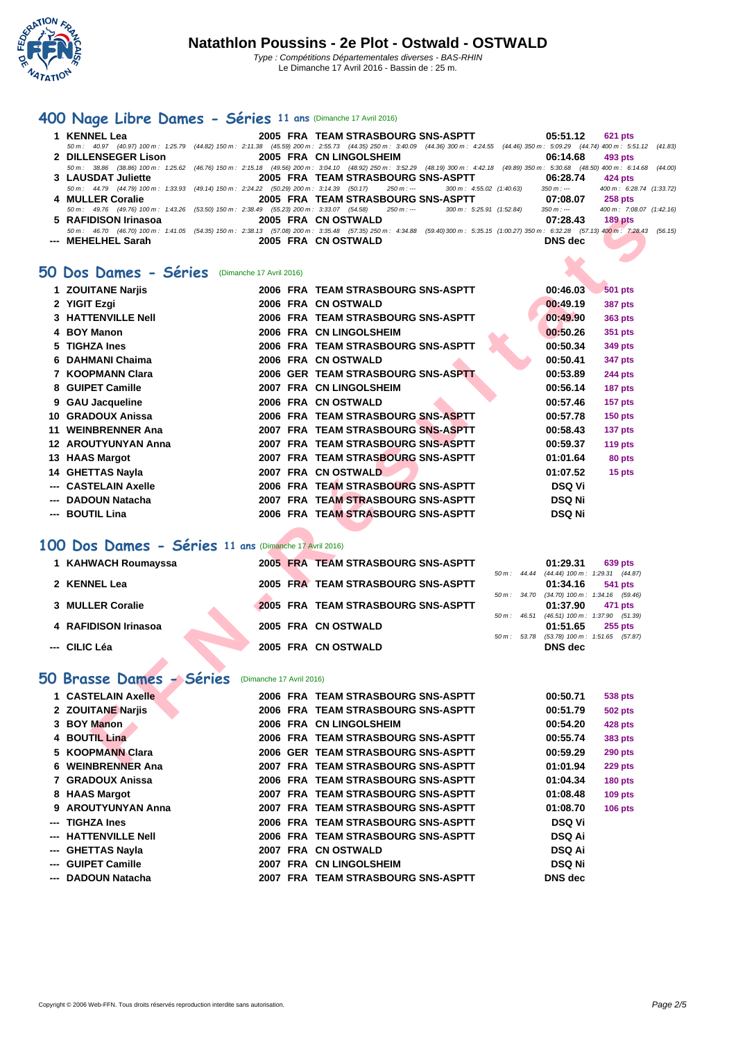

# **[400 N](http://www.ffnatation.fr/webffn/index.php)age Libre Dames - Séries 11 ans** (Dimanche 17 Avril 2016)

| 1 KENNEL Lea                           | 2005 FRA TEAM STRASBOURG SNS-ASPTT                                                                                                                                                           | 05:51.12 621 pts                        |
|----------------------------------------|----------------------------------------------------------------------------------------------------------------------------------------------------------------------------------------------|-----------------------------------------|
|                                        | 50 m : 40.97 (40.97) 100 m : 1:25.79 (44.82) 150 m : 2:11.38 (45.59) 200 m : 2:55.73 (44.35) 250 m : 3:40.09 (44.36) 300 m : 4:24.55 (44.46) 350 m : 5:09.29 (44.74) 400 m : 5:51.12 (41.83) |                                         |
| 2 DILLENSEGER Lison                    | 2005 FRA CN LINGOLSHEIM                                                                                                                                                                      | $06:14.68$ 493 pts                      |
|                                        | 50 m: 38.86 (38.86) 100 m: 1:25.62 (46.76) 150 m: 2:15.18 (49.56) 200 m: 3:04.10 (48.92) 250 m: 3:52.29 (48.19) 300 m: 4:42.18 (49.89) 350 m: 5:30.68 (48.50) 400 m: 6:14.68 (44.00)         |                                         |
| 3 LAUSDAT Juliette                     | 2005 FRA TEAM STRASBOURG SNS-ASPTT                                                                                                                                                           | 06:28.74<br>424 pts                     |
|                                        | 50 m: 44.79 (44.79) 100 m: 1:33.93 (49.14) 150 m: 2:24.22 (50.29) 200 m: 3:14.39 (50.17) 250 m: --- 300 m: 4:55.02 (1:40.63)                                                                 | 400 m: 6:28.74 (1:33.72)<br>350 m : --- |
| 4 MULLER Coralie                       | 2005 FRA TEAM STRASBOURG SNS-ASPTT                                                                                                                                                           | 07:08.07<br>258 pts                     |
|                                        | 50 m: 49.76 (49.76) 100 m: 1:43.26 (53.50) 150 m: 2:38.49 (55.23) 200 m: 3:33.07 (54.58) 250 m: --- 300 m: 5:25.91 (1:52.84)                                                                 | 400 m: 7:08.07 (1:42.16)<br>350 m : --- |
| 5 RAFIDISON Irinasoa                   | 2005 FRA CN OSTWALD                                                                                                                                                                          | 07:28.43<br>$189$ pts                   |
|                                        | 50 m: 46.70 (46.70) 100 m: 1:41.05 (54.35) 150 m: 2:38.13 (57.08) 200 m: 3:35.48 (57.35) 250 m: 4:34.88 (59.40) 300 m: 5:35.15 (1:00.27) 350 m: 6:32.28 (57.13) 400 m: 7:28.43 (56.15)       |                                         |
| --- MEHELHEL Sarah <b>Angles Sarah</b> | 2005 FRA CN OSTWALD                                                                                                                                                                          | <b>DNS</b> dec                          |

#### **50 Dos Dames - Séries** (Dimanche 17 Avril 2016)

| 5 RAFIDISON Irinasoa                                  |                          | 2005 FRA CN OSTWALD                                                                                                                                                                                               | 07:28.43       | <b>189 pts</b>                                        |  |
|-------------------------------------------------------|--------------------------|-------------------------------------------------------------------------------------------------------------------------------------------------------------------------------------------------------------------|----------------|-------------------------------------------------------|--|
| --- MEHELHEL Sarah                                    |                          | 50 m : 46.70 (46.70) 100 m : 1:41.05 (54.35) 150 m : 2:38.13 (57.08) 200 m : 3:35.48 (57.35) 250 m : 4:34.88 (59.40) 300 m : 5:35.15 (1:00.27) 350 m : 6:32.28 (57.13) 400 m : 7:28.43 (56<br>2005 FRA CN OSTWALD | <b>DNS</b> dec |                                                       |  |
|                                                       |                          |                                                                                                                                                                                                                   |                |                                                       |  |
| iO Dos Dames - Séries<br>(Dimanche 17 Avril 2016)     |                          |                                                                                                                                                                                                                   |                |                                                       |  |
|                                                       |                          |                                                                                                                                                                                                                   |                |                                                       |  |
| 1 ZOUITANE Narjis                                     |                          | 2006 FRA TEAM STRASBOURG SNS-ASPTT                                                                                                                                                                                | 00:46.03       | <b>501 pts</b>                                        |  |
| 2 YIGIT Ezgi                                          |                          | 2006 FRA CN OSTWALD                                                                                                                                                                                               | 00:49.19       | <b>387 pts</b>                                        |  |
| <b>3 HATTENVILLE Nell</b>                             |                          | 2006 FRA TEAM STRASBOURG SNS-ASPTT                                                                                                                                                                                | 00:49.90       | 363 pts                                               |  |
| 4 BOY Manon                                           |                          | 2006 FRA CN LINGOLSHEIM                                                                                                                                                                                           | 00:50.26       | 351 pts                                               |  |
| 5 TIGHZA Ines                                         |                          | 2006 FRA TEAM STRASBOURG SNS-ASPTT                                                                                                                                                                                | 00:50.34       | 349 pts                                               |  |
| 6 DAHMANI Chaima                                      |                          | 2006 FRA CN OSTWALD                                                                                                                                                                                               | 00:50.41       | 347 pts                                               |  |
| 7 KOOPMANN Clara                                      |                          | 2006 GER TEAM STRASBOURG SNS-ASPTT                                                                                                                                                                                | 00:53.89       | <b>244 pts</b>                                        |  |
| 8 GUIPET Camille                                      |                          | 2007 FRA CN LINGOLSHEIM                                                                                                                                                                                           | 00:56.14       | 187 pts                                               |  |
| 9 GAU Jacqueline                                      |                          | 2006 FRA CN OSTWALD                                                                                                                                                                                               | 00:57.46       | 157 pts                                               |  |
| 10 GRADOUX Anissa                                     |                          | 2006 FRA TEAM STRASBOURG SNS-ASPTT                                                                                                                                                                                | 00:57.78       | <b>150 pts</b>                                        |  |
| 11 WEINBRENNER Ana                                    |                          | 2007 FRA TEAM STRASBOURG SNS-ASPTT                                                                                                                                                                                | 00:58.43       | 137 pts                                               |  |
| <b>12 AROUTYUNYAN Anna</b>                            |                          | 2007 FRA TEAM STRASBOURG SNS-ASPTT                                                                                                                                                                                | 00:59.37       | <b>119 pts</b>                                        |  |
| 13 HAAS Margot                                        |                          | 2007 FRA TEAM STRASBOURG SNS-ASPTT                                                                                                                                                                                | 01:01.64       | 80 pts                                                |  |
| 14 GHETTAS Nayla                                      |                          | 2007 FRA CN OSTWALD                                                                                                                                                                                               | 01:07.52       | 15 pts                                                |  |
| <b>CASTELAIN Axelle</b>                               |                          | 2006 FRA TEAM STRASBOURG SNS-ASPTT                                                                                                                                                                                | <b>DSQ Vi</b>  |                                                       |  |
| <b>DADOUN Natacha</b>                                 |                          | 2007 FRA TEAM STRASBOURG SNS-ASPTT                                                                                                                                                                                | <b>DSQ Ni</b>  |                                                       |  |
| --- BOUTIL Lina                                       |                          | 2006 FRA TEAM STRASBOURG SNS-ASPTT                                                                                                                                                                                | <b>DSQ Ni</b>  |                                                       |  |
|                                                       |                          |                                                                                                                                                                                                                   |                |                                                       |  |
| 00 Dos Dames - Séries 11 ans (Dimanche 17 Avril 2016) |                          |                                                                                                                                                                                                                   |                |                                                       |  |
| 1 KAHWACH Roumayssa                                   |                          | 2005 FRA TEAM STRASBOURG SNS-ASPTT                                                                                                                                                                                | 01:29.31       | <b>639 pts</b>                                        |  |
|                                                       |                          |                                                                                                                                                                                                                   |                | 50 m: 44.44 (44.44) 100 m: 1:29.31 (44.87)            |  |
| 2 KENNEL Lea                                          |                          | 2005 FRA TEAM STRASBOURG SNS-ASPTT                                                                                                                                                                                | 01:34.16       | 541 pts                                               |  |
| 3 MULLER Coralie                                      |                          | 2005 FRA TEAM STRASBOURG SNS-ASPTT                                                                                                                                                                                | 01:37.90       | 50 m: 34.70 (34.70) 100 m: 1:34.16 (59.46)<br>471 pts |  |
|                                                       |                          |                                                                                                                                                                                                                   |                | 50 m: 46.51 (46.51) 100 m: 1:37.90 (51.39)            |  |
| 4 RAFIDISON Irinasoa                                  |                          | 2005 FRA CN OSTWALD                                                                                                                                                                                               | 01:51.65       | $255$ pts                                             |  |
| --- CILIC Léa                                         |                          | 50 m : 53.78<br>2005 FRA CN OSTWALD                                                                                                                                                                               | <b>DNS</b> dec | $(53.78)$ 100 m : 1:51.65 $(57.87)$                   |  |
|                                                       |                          |                                                                                                                                                                                                                   |                |                                                       |  |
| O Brasse Dames - Séries                               | (Dimanche 17 Avril 2016) |                                                                                                                                                                                                                   |                |                                                       |  |
|                                                       |                          |                                                                                                                                                                                                                   |                |                                                       |  |
| 1 CASTELAIN Axelle                                    |                          | 2006 FRA TEAM STRASBOURG SNS-ASPTT                                                                                                                                                                                | 00:50.71       | <b>538 pts</b>                                        |  |
| 2 ZOUITANE Narjis                                     |                          | 2006 FRA TEAM STRASBOURG SNS-ASPTT                                                                                                                                                                                | 00:51.79       | 502 pts                                               |  |
| 3 BOY Manon                                           |                          | 2006 FRA CN LINGOLSHEIM                                                                                                                                                                                           | 00:54.20       | 428 pts                                               |  |
| 4 BOUTIL Lina                                         |                          | 2006 FRA TEAM STRASBOURG SNS-ASPTT                                                                                                                                                                                | 00:55.74       | 383 pts                                               |  |
| 5 KOOPMANN Clara                                      |                          | 2006 GER TEAM STRASBOURG SNS-ASPTT                                                                                                                                                                                | 00:59.29       | <b>290 pts</b>                                        |  |
| <b>INCINIDOCNINIED And</b>                            |                          | 2007 FDA TEAM STRASDOURS SHE ASDTT                                                                                                                                                                                | 04.04.04       | $220 - 44$                                            |  |

#### **100 Dos Dames - Séries 11 ans** (Dimanche 17 Avril 2016)

| 1 KAHWACH Roumayssa  |  |  | 2005 FRA TEAM STRASBOURG SNS-ASPTT |                            |              | 01:29.31                                        | <b>639 pts</b> |
|----------------------|--|--|------------------------------------|----------------------------|--------------|-------------------------------------------------|----------------|
| 2 KENNEL Lea         |  |  | 2005 FRA TEAM STRASBOURG SNS-ASPTT | $50 \text{ m}$ : $44.44$   |              | $(44.44)$ 100 m : 1:29.31 $(44.87)$<br>01:34.16 | 541 pts        |
| 3 MULLER Coralie     |  |  | 2005 FRA TEAM STRASBOURG SNS-ASPTT |                            | 50 m : 34.70 | $(34.70)$ 100 m : 1:34.16 $(59.46)$<br>01:37.90 | 471 pts        |
| 4 RAFIDISON Irinasoa |  |  | 2005 FRA CN OSTWALD                | $50 \text{ m}$ : 46.51     |              | $(46.51)$ 100 m : 1:37.90 $(51.39)$<br>01:51.65 | <b>255 pts</b> |
| --- CILIC Léa        |  |  | 2005 FRA CN OSTWALD                | $50 \, \text{m}$ : $53.78$ |              | $(53.78)$ 100 m : 1:51.65 $(57.87)$<br>DNS dec  |                |

## 50 Brasse Dames - Séries (Dimanche 17 Avril 2016)

|                                                                                                                                                                                                                                                                                         |  | 00:50.71                                                                                                                                                                                                                                                                                                                                                                                                                                                                                                    | <b>538 pts</b> |
|-----------------------------------------------------------------------------------------------------------------------------------------------------------------------------------------------------------------------------------------------------------------------------------------|--|-------------------------------------------------------------------------------------------------------------------------------------------------------------------------------------------------------------------------------------------------------------------------------------------------------------------------------------------------------------------------------------------------------------------------------------------------------------------------------------------------------------|----------------|
|                                                                                                                                                                                                                                                                                         |  | 00:51.79                                                                                                                                                                                                                                                                                                                                                                                                                                                                                                    | <b>502 pts</b> |
|                                                                                                                                                                                                                                                                                         |  | 00:54.20                                                                                                                                                                                                                                                                                                                                                                                                                                                                                                    | <b>428 pts</b> |
|                                                                                                                                                                                                                                                                                         |  | 00:55.74                                                                                                                                                                                                                                                                                                                                                                                                                                                                                                    | <b>383 pts</b> |
|                                                                                                                                                                                                                                                                                         |  | 00:59.29                                                                                                                                                                                                                                                                                                                                                                                                                                                                                                    | <b>290 pts</b> |
|                                                                                                                                                                                                                                                                                         |  | 01:01.94                                                                                                                                                                                                                                                                                                                                                                                                                                                                                                    | 229 pts        |
|                                                                                                                                                                                                                                                                                         |  | 01:04.34                                                                                                                                                                                                                                                                                                                                                                                                                                                                                                    | <b>180 pts</b> |
|                                                                                                                                                                                                                                                                                         |  | 01:08.48                                                                                                                                                                                                                                                                                                                                                                                                                                                                                                    | 109 pts        |
|                                                                                                                                                                                                                                                                                         |  | 01:08.70                                                                                                                                                                                                                                                                                                                                                                                                                                                                                                    | <b>106 pts</b> |
|                                                                                                                                                                                                                                                                                         |  | <b>DSQ Vi</b>                                                                                                                                                                                                                                                                                                                                                                                                                                                                                               |                |
|                                                                                                                                                                                                                                                                                         |  | <b>DSQ Ai</b>                                                                                                                                                                                                                                                                                                                                                                                                                                                                                               |                |
|                                                                                                                                                                                                                                                                                         |  | <b>DSQ Ai</b>                                                                                                                                                                                                                                                                                                                                                                                                                                                                                               |                |
|                                                                                                                                                                                                                                                                                         |  | <b>DSQ Ni</b>                                                                                                                                                                                                                                                                                                                                                                                                                                                                                               |                |
|                                                                                                                                                                                                                                                                                         |  | <b>DNS</b> dec                                                                                                                                                                                                                                                                                                                                                                                                                                                                                              |                |
| 1 CASTELAIN Axelle<br>2 ZOUITANE Narjis<br>3 BOY Manon<br>4 BOUTIL Lina<br>5 KOOPMANN Clara<br>6 WEINBRENNER Ana<br>7 GRADOUX Anissa<br>8 HAAS Margot<br>9 AROUTYUNYAN Anna<br>--- TIGHZA Ines<br>--- HATTENVILLE Nell<br>--- GHETTAS Nayla<br>--- GUIPET Camille<br>--- DADOUN Natacha |  | 2006 FRA TEAM STRASBOURG SNS-ASPTT<br>2006 FRA TEAM STRASBOURG SNS-ASPTT<br>2006 FRA CN LINGOLSHEIM<br>2006 FRA TEAM STRASBOURG SNS-ASPTT<br>2006 GER TEAM STRASBOURG SNS-ASPTT<br>2007 FRA TEAM STRASBOURG SNS-ASPTT<br>2006 FRA TEAM STRASBOURG SNS-ASPTT<br>2007 FRA TEAM STRASBOURG SNS-ASPTT<br>2007 FRA TEAM STRASBOURG SNS-ASPTT<br>2006 FRA TEAM STRASBOURG SNS-ASPTT<br>2006 FRA TEAM STRASBOURG SNS-ASPTT<br>2007 FRA CN OSTWALD<br>2007 FRA CN LINGOLSHEIM<br>2007 FRA TEAM STRASBOURG SNS-ASPTT |                |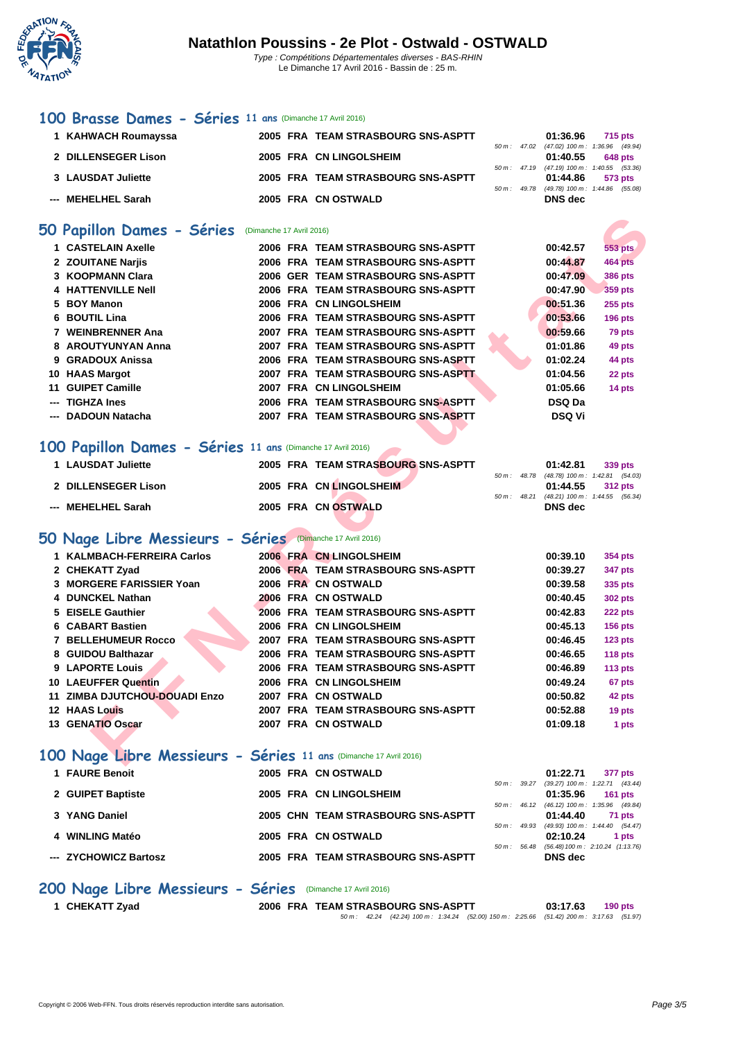

Le Dimanche 17 Avril 2016 - Bassin de : 25 m.

#### **[100 B](http://www.ffnatation.fr/webffn/index.php)rasse Dames - Séries 11 ans** (Dimanche 17 Avril 2016)

| 1 KAHWACH Roumayssa |                                          |  |                                                                                                                            |              | 715 pts |                                                                                                                                                                  |
|---------------------|------------------------------------------|--|----------------------------------------------------------------------------------------------------------------------------|--------------|---------|------------------------------------------------------------------------------------------------------------------------------------------------------------------|
|                     |                                          |  |                                                                                                                            |              |         |                                                                                                                                                                  |
| 2 DILLENSEGER Lison |                                          |  |                                                                                                                            |              | 648 pts |                                                                                                                                                                  |
|                     |                                          |  |                                                                                                                            |              |         |                                                                                                                                                                  |
|                     |                                          |  |                                                                                                                            |              | 573 pts |                                                                                                                                                                  |
|                     |                                          |  |                                                                                                                            |              |         |                                                                                                                                                                  |
|                     |                                          |  |                                                                                                                            |              |         |                                                                                                                                                                  |
|                     | 3 LAUSDAT Juliette<br>--- MEHELHEL Sarah |  | 2005 FRA TEAM STRASBOURG SNS-ASPTT<br>2005 FRA CN LINGOLSHEIM<br>2005 FRA TEAM STRASBOURG SNS-ASPTT<br>2005 FRA CN OSTWALD | 50 m : 49.78 | DNS dec | 01:36.96<br>50 m : 47.02 (47.02) 100 m : 1:36.96 (49.94)<br>01:40.55<br>50 m: 47.19 (47.19) 100 m: 1:40.55 (53.36)<br>01:44.86<br>(49.78) 100 m: 1:44.86 (55.08) |

#### **50 Papillon Dames - Séries** (Dimanche 17 Avril 2016)

|     | 1 CASTELAIN Axelle |  | 2006 FRA TEAM STRASBOURG SNS-ASPTT | 00:42.57      | 553 pts        |
|-----|--------------------|--|------------------------------------|---------------|----------------|
|     | 2 ZOUITANE Narjis  |  | 2006 FRA TEAM STRASBOURG SNS-ASPTT | 00:44.87      | <b>464 pts</b> |
|     | 3 KOOPMANN Clara   |  | 2006 GER TEAM STRASBOURG SNS-ASPTT | 00:47.09      | <b>386 pts</b> |
|     | 4 HATTENVILLE Nell |  | 2006 FRA TEAM STRASBOURG SNS-ASPTT | 00:47.90      | 359 pts        |
|     | 5 BOY Manon        |  | 2006 FRA CN LINGOLSHEIM            | 00:51.36      | <b>255 pts</b> |
|     | 6 BOUTIL Lina      |  | 2006 FRA TEAM STRASBOURG SNS-ASPTT | 00:53.66      | <b>196 pts</b> |
|     | 7 WEINBRENNER Ana  |  | 2007 FRA TEAM STRASBOURG SNS-ASPTT | 00:59.66      | 79 pts         |
|     | 8 AROUTYUNYAN Anna |  | 2007 FRA TEAM STRASBOURG SNS-ASPTT | 01:01.86      | 49 pts         |
|     | 9 GRADOUX Anissa   |  | 2006 FRA TEAM STRASBOURG SNS-ASPTT | 01:02.24      | 44 pts         |
|     | 10 HAAS Margot     |  | 2007 FRA TEAM STRASBOURG SNS-ASPTT | 01:04.56      | 22 pts         |
|     | 11 GUIPET Camille  |  | 2007 FRA CN LINGOLSHEIM            | 01:05.66      | 14 pts         |
| --- | <b>TIGHZA Ines</b> |  | 2006 FRA TEAM STRASBOURG SNS-ASPTT | DSQ Da        |                |
|     | --- DADOUN Natacha |  | 2007 FRA TEAM STRASBOURG SNS-ASPTT | <b>DSQ Vi</b> |                |

## **100 Papillon Dames - Séries 11 ans** (Dimanche 17 Avril 2016)

| 1 LAUSDAT Juliette  | 2005 FRA TEAM STRASBOURG SNS-ASPTT |  | 01:42.81                                   | 339 pts |
|---------------------|------------------------------------|--|--------------------------------------------|---------|
|                     |                                    |  | 50 m: 48.78 (48.78) 100 m: 1:42.81 (54.03) |         |
| 2 DILLENSEGER Lison | 2005 FRA CN LINGOLSHEIM            |  | $01:44.55$ 312 pts                         |         |
|                     |                                    |  | 50 m: 48.21 (48.21) 100 m: 1:44.55 (56.34) |         |
| --- MEHELHEL Sarah  | 2005 FRA CN OSTWALD                |  | DNS dec                                    |         |
|                     |                                    |  |                                            |         |

### **50 Nage Libre Messieurs - Séries** (Dimanche 17 Avril 2016)

| <b>O Papillon Dames - Séries</b>                                             | (Dimanche 17 Avril 2016) |                                    |                |                                |                                     |
|------------------------------------------------------------------------------|--------------------------|------------------------------------|----------------|--------------------------------|-------------------------------------|
| 1 CASTELAIN Axelle                                                           |                          | 2006 FRA TEAM STRASBOURG SNS-ASPTT |                | 00:42.57                       | 553 pts                             |
| 2 ZOUITANE Narjis                                                            |                          | 2006 FRA TEAM STRASBOURG SNS-ASPTT |                | 00:44.87                       | 464 pts                             |
| 3 KOOPMANN Clara                                                             |                          | 2006 GER TEAM STRASBOURG SNS-ASPTT |                | 00:47.09                       | <b>386 pts</b>                      |
| <b>4 HATTENVILLE Nell</b>                                                    |                          | 2006 FRA TEAM STRASBOURG SNS-ASPTT |                | 00:47.90                       | <b>359 pts</b>                      |
| 5 BOY Manon                                                                  |                          | 2006 FRA CN LINGOLSHEIM            |                | 00:51.36                       | <b>255 pts</b>                      |
| 6 BOUTIL Lina                                                                |                          | 2006 FRA TEAM STRASBOURG SNS-ASPTT |                | 00:53.66                       | <b>196 pts</b>                      |
| 7 WEINBRENNER Ana                                                            |                          | 2007 FRA TEAM STRASBOURG SNS-ASPTT |                | 00:59.66                       | 79 pts                              |
| 8 AROUTYUNYAN Anna                                                           |                          | 2007 FRA TEAM STRASBOURG SNS-ASPTT |                | 01:01.86                       | 49 pts                              |
| 9 GRADOUX Anissa                                                             |                          | 2006 FRA TEAM STRASBOURG SNS-ASPTT |                | 01:02.24                       | 44 pts                              |
| 10 HAAS Margot                                                               |                          | 2007 FRA TEAM STRASBOURG SNS-ASPTT |                | 01:04.56                       | 22 pts                              |
| 11 GUIPET Camille                                                            |                          | 2007 FRA CN LINGOLSHEIM            |                | 01:05.66                       | 14 pts                              |
| --- TIGHZA Ines                                                              |                          | 2006 FRA TEAM STRASBOURG SNS-ASPTT |                | <b>DSQ Da</b>                  |                                     |
| --- DADOUN Natacha                                                           |                          | 2007 FRA TEAM STRASBOURG SNS-ASPTT |                | <b>DSQ Vi</b>                  |                                     |
|                                                                              |                          |                                    |                |                                |                                     |
| 00 Papillon Dames - Séries 11 ans (Dimanche 17 Avril 2016)                   |                          |                                    |                |                                |                                     |
| 1 LAUSDAT Juliette                                                           |                          | 2005 FRA TEAM STRASBOURG SNS-ASPTT |                | 01:42.81                       | 339 pts                             |
| 2 DILLENSEGER Lison                                                          |                          | 2005 FRA CN LINGOLSHEIM            | $50 m$ : 48.78 | 01:44.55                       | $(48.78)$ 100 m : 1:42.81 $(54.03)$ |
|                                                                              |                          |                                    | 50 m : 48.21   | (48.21) 100 m: 1:44.55 (56.34) | <b>312 pts</b>                      |
| --- MEHELHEL Sarah                                                           |                          | 2005 FRA CN OSTWALD                |                | <b>DNS</b> dec                 |                                     |
|                                                                              |                          |                                    |                |                                |                                     |
| O Nage Libre Messieurs - Séries (Dimanche 17 Avril 2016)                     |                          |                                    |                |                                |                                     |
| 1 KALMBACH-FERREIRA Carlos                                                   |                          | 2006 FRA CN LINGOLSHEIM            |                | 00:39.10                       | <b>354 pts</b>                      |
| 2 CHEKATT Zyad                                                               |                          | 2006 FRA TEAM STRASBOURG SNS-ASPTT |                | 00:39.27                       | 347 pts                             |
| 3 MORGERE FARISSIER Yoan                                                     |                          | 2006 FRA CN OSTWALD                |                | 00:39.58                       | 335 pts                             |
| 4 DUNCKEL Nathan                                                             |                          | 2006 FRA CN OSTWALD                |                | 00:40.45                       | <b>302 pts</b>                      |
| 5 EISELE Gauthier                                                            |                          | 2006 FRA TEAM STRASBOURG SNS-ASPTT |                | 00:42.83                       | 222 pts                             |
| 6 CABART Bastien                                                             |                          | 2006 FRA CN LINGOLSHEIM            |                | 00:45.13                       | <b>156 pts</b>                      |
| <b>7 BELLEHUMEUR Rocco</b>                                                   |                          | 2007 FRA TEAM STRASBOURG SNS-ASPTT |                | 00:46.45                       | 123 pts                             |
| 8 GUIDOU Balthazar                                                           |                          | 2006 FRA TEAM STRASBOURG SNS-ASPTT |                | 00:46.65                       | 118 pts                             |
| 9 LAPORTE Louis                                                              |                          | 2006 FRA TEAM STRASBOURG SNS-ASPTT |                | 00:46.89                       | <b>113 pts</b>                      |
|                                                                              |                          | 2006 FRA CN LINGOLSHEIM            |                | 00:49.24                       | 67 pts                              |
|                                                                              |                          |                                    |                |                                | 42 pts                              |
|                                                                              |                          | 2007 FRA CN OSTWALD                |                | 00:50.82                       |                                     |
| 10 LAEUFFER Quentin<br>11 ZIMBA DJUTCHOU-DOUADI Enzo<br><b>12 HAAS Louis</b> |                          | 2007 FRA TEAM STRASBOURG SNS-ASPTT |                | 00:52.88                       | 19 pts                              |

## **100 Nage Libre Messieurs - Séries 11 ans** (Dimanche 17 Avril 2016)

| 1 FAURE Benoit        |  | 2005 FRA CN OSTWALD                |                          | 01:22.71                                               | 377 pts   |
|-----------------------|--|------------------------------------|--------------------------|--------------------------------------------------------|-----------|
|                       |  |                                    |                          | 50 m: 39.27 (39.27) 100 m: 1:22.71 (43.44)             |           |
| 2 GUIPET Baptiste     |  | 2005 FRA CN LINGOLSHEIM            |                          | 01:35.96                                               | 161 $pts$ |
| 3 YANG Daniel         |  | 2005 CHN TEAM STRASBOURG SNS-ASPTT |                          | 50 m: 46.12 (46.12) 100 m: 1:35.96 (49.84)<br>01:44.40 | 71 pts    |
|                       |  |                                    | 50 m : 49.93             | (49.93) 100 m: 1:44.40 (54.47)                         |           |
| 4 WINLING Matéo       |  | 2005 FRA CN OSTWALD                |                          | 02:10.24                                               | 1 pts     |
|                       |  |                                    | $50 \, \text{m}$ : 56.48 | (56.48) 100 m : 2:10.24 (1:13.76)                      |           |
| --- ZYCHOWICZ Bartosz |  | 2005 FRA TEAM STRASBOURG SNS-ASPTT |                          | DNS dec                                                |           |

### **200 Nage Libre Messieurs - Séries** (Dimanche 17 Avril 2016)

**1 CHEKATT Zyad 2006 FRA TEAM STRASBOURG SNS-ASPTT 03:17.63 190 pts** 50 m : 42.24 (42.24) 100 m : 1:34.24 (52.00) 150 m : 2:25.66 (51.42) 200 m : 3:17.63 (51.97)

Copyright © 2006 Web-FFN. Tous droits réservés reproduction interdite sans autorisation. **Page 3/5**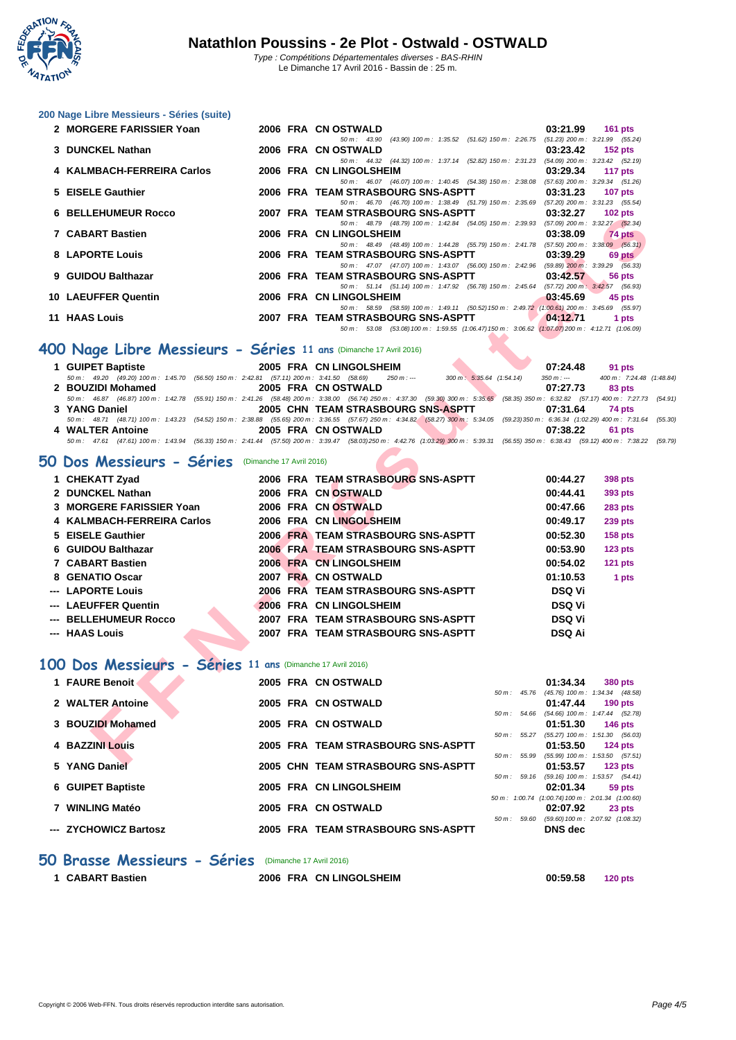

**[200 Nage](http://www.ffnatation.fr/webffn/index.php) Libre Messieurs - Séries (suite)**

| (43.90) 100 m: 1:35.52 (51.62) 150 m: 2:26.75 (51.23) 200 m: 3:21.99 (55.24)<br>50 m: 43.90<br>3 DUNCKEL Nathan<br>2006 FRA CN OSTWALD<br>50 m: 44.32 (44.32) 100 m: 1:37.14 (52.82) 150 m: 2:31.23 (54.09) 200 m: 3:23.42 (52.19)<br>4 KALMBACH-FERREIRA Carlos<br>2006 FRA CN LINGOLSHEIM<br>50 m: 46.07 (46.07) 100 m: 1:40.45 (54.38) 150 m: 2:38.08 (57.63) 200 m: 3:29.34 (51.26)<br>5 EISELE Gauthier<br>2006 FRA TEAM STRASBOURG SNS-ASPTT | 03:23.42<br>$152$ pts<br>03:29.34<br>117 $pts$<br>03:31.23<br>107 $pts$ |
|----------------------------------------------------------------------------------------------------------------------------------------------------------------------------------------------------------------------------------------------------------------------------------------------------------------------------------------------------------------------------------------------------------------------------------------------------|-------------------------------------------------------------------------|
|                                                                                                                                                                                                                                                                                                                                                                                                                                                    |                                                                         |
|                                                                                                                                                                                                                                                                                                                                                                                                                                                    |                                                                         |
|                                                                                                                                                                                                                                                                                                                                                                                                                                                    |                                                                         |
|                                                                                                                                                                                                                                                                                                                                                                                                                                                    |                                                                         |
|                                                                                                                                                                                                                                                                                                                                                                                                                                                    |                                                                         |
|                                                                                                                                                                                                                                                                                                                                                                                                                                                    |                                                                         |
| 50 m: 46.70 (46.70) 100 m: 1:38.49 (51.79) 150 m: 2:35.69 (57.20) 200 m: 3:31.23 (55.54)                                                                                                                                                                                                                                                                                                                                                           |                                                                         |
| <b>6 BELLEHUMEUR Rocco</b><br>2007 FRA TEAM STRASBOURG SNS-ASPTT                                                                                                                                                                                                                                                                                                                                                                                   | 03:32.27<br>$102$ pts                                                   |
| 50 m: 48.79 (48.79) 100 m: 1:42.84 (54.05) 150 m: 2:39.93 (57.09) 200 m: 3:32.27 (52.34)                                                                                                                                                                                                                                                                                                                                                           |                                                                         |
| 7 CABART Bastien<br>2006 FRA CN LINGOLSHEIM                                                                                                                                                                                                                                                                                                                                                                                                        | 03:38.09<br>74 pts                                                      |
| 50 m: 48.49 (48.49) 100 m: 1:44.28 (55.79) 150 m: 2:41.78 (57.50) 200 m: 3:38.09 (56.31)                                                                                                                                                                                                                                                                                                                                                           |                                                                         |
| 8 LAPORTE Louis<br>2006 FRA TEAM STRASBOURG SNS-ASPTT 03:39.29                                                                                                                                                                                                                                                                                                                                                                                     | 69 pts                                                                  |
| 50 m : 47.07 (47.07) 100 m : 1:43.07 (56.00) 150 m : 2:42.96 (59.89) 200 m : 3:39.29 (56.33)                                                                                                                                                                                                                                                                                                                                                       |                                                                         |
| 9 GUIDOU Balthazar<br>2006 FRA TEAM STRASBOURG SNS-ASPTT                                                                                                                                                                                                                                                                                                                                                                                           | 03.42.57<br>56 pts                                                      |
| 50 m: 51.14 (51.14) 100 m: 1:47.92 (56.78) 150 m: 2:45.64 (57.72) 200 m: 3:42.57 (56.93)                                                                                                                                                                                                                                                                                                                                                           |                                                                         |
| 10 LAEUFFER Quentin<br>2006 FRA CN LINGOLSHEIM                                                                                                                                                                                                                                                                                                                                                                                                     | 03:45.69<br>45 pts                                                      |
| 50 m: 58.59 (58.59) 100 m: 1:49.11 (50.52) 150 m: 2:49.72 (1:00.61) 200 m: 3:45.69 (55.97)                                                                                                                                                                                                                                                                                                                                                         |                                                                         |
| 11 HAAS Louis<br>2007 FRA TEAM STRASBOURG SNS-ASPTT                                                                                                                                                                                                                                                                                                                                                                                                | 04:12.71<br>1 pts                                                       |
| 50 m: 53.08 (53.08) 100 m: 1:59.55 (1:06.47) 150 m: 3:06.62 (1:07.07) 200 m: 4:12.71 (1:06.09)                                                                                                                                                                                                                                                                                                                                                     |                                                                         |

# **400 Nage Libre Messieurs - Séries 11 ans** (Dimanche 17 Avril 2016)

| 1 GUIPET Baptiste<br>2005 FRA CN LINGOLSHEIM<br>07:24.48<br>91 pts<br>50 m: 49.20 (49.20) 100 m: 1:45.70 (56.50) 150 m: 2:42.81 (57.11) 200 m: 3:41.50 (58.69) 250 m: ---<br>300 m: 5:35.64 (1:54.14)<br>350 m : ---<br>2 BOUZIDI Mohamed<br>2005 FRA CN OSTWALD<br>07:27.73<br>83 pts<br>50 m : 46.87 (46.87) 100 m : 1:42.78 (55.91) 150 m : 2:41.26 (58.48) 200 m : 3:38.00 (56.74) 250 m : 4:37.30 (59.30) 300 m : 5:35.65 (58.35) 350 m : 6:32.82 (57.17) 400 m : 7:27.73 (54.91)<br>2005 CHN TEAM STRASBOURG SNS-ASPTT<br>3 YANG Daniel<br>07:31.64<br>74 pts<br>50 m: 48.71 (48.71) 100 m: 1:43.23 (54.52) 150 m: 2:38.88 (55.65) 200 m: 3:36.55 (57.67) 250 m: 4:34.82 (58.27) 300 m: 5:34.05 (59.23) 350 m: 6:36.34 (1:02.29) 400 m: 7:31.64 (55.30)<br>4 WALTER Antoine<br>2005 FRA CN OSTWALD<br>07:38.22<br><b>61 pts</b><br>50 m : 47.61 (47.61) 100 m : 1:43.94 (56.33) 150 m : 2:41.44 (57.50) 200 m : 3:39.47 (58.03) 250 m : 4:42.76 (1:03.29) 300 m : 5:39.31 (56.55) 350 m : 6:38.43 (59.12) 400 m : 7:38.22 (59.79) |  |  |                          |
|-----------------------------------------------------------------------------------------------------------------------------------------------------------------------------------------------------------------------------------------------------------------------------------------------------------------------------------------------------------------------------------------------------------------------------------------------------------------------------------------------------------------------------------------------------------------------------------------------------------------------------------------------------------------------------------------------------------------------------------------------------------------------------------------------------------------------------------------------------------------------------------------------------------------------------------------------------------------------------------------------------------------------------------------|--|--|--------------------------|
|                                                                                                                                                                                                                                                                                                                                                                                                                                                                                                                                                                                                                                                                                                                                                                                                                                                                                                                                                                                                                                         |  |  |                          |
|                                                                                                                                                                                                                                                                                                                                                                                                                                                                                                                                                                                                                                                                                                                                                                                                                                                                                                                                                                                                                                         |  |  | 400 m: 7:24.48 (1:48.84) |
|                                                                                                                                                                                                                                                                                                                                                                                                                                                                                                                                                                                                                                                                                                                                                                                                                                                                                                                                                                                                                                         |  |  |                          |
|                                                                                                                                                                                                                                                                                                                                                                                                                                                                                                                                                                                                                                                                                                                                                                                                                                                                                                                                                                                                                                         |  |  |                          |
|                                                                                                                                                                                                                                                                                                                                                                                                                                                                                                                                                                                                                                                                                                                                                                                                                                                                                                                                                                                                                                         |  |  |                          |
|                                                                                                                                                                                                                                                                                                                                                                                                                                                                                                                                                                                                                                                                                                                                                                                                                                                                                                                                                                                                                                         |  |  |                          |
|                                                                                                                                                                                                                                                                                                                                                                                                                                                                                                                                                                                                                                                                                                                                                                                                                                                                                                                                                                                                                                         |  |  |                          |
|                                                                                                                                                                                                                                                                                                                                                                                                                                                                                                                                                                                                                                                                                                                                                                                                                                                                                                                                                                                                                                         |  |  |                          |

## **50 Dos Messieurs - Séries** (Dimanche 17 Avril 2016)

| BLLLLIUMLUI\ I\VCC                                                                                                                                                                                            |  | TINA TEAM STINASDOUNG SNOTASI TT                                                                                    |                          | <b>UJ.JL.LI</b> | <b>TUZ DIS</b>                                          |
|---------------------------------------------------------------------------------------------------------------------------------------------------------------------------------------------------------------|--|---------------------------------------------------------------------------------------------------------------------|--------------------------|-----------------|---------------------------------------------------------|
| 7 CABART Bastien                                                                                                                                                                                              |  | 50 m: 48.79 (48.79) 100 m: 1:42.84 (54.05) 150 m: 2:39.93 (57.09) 200 m: 3:32.27 (52.34)<br>2006 FRA CN LINGOLSHEIM |                          | 03:38.09        | 74 pts                                                  |
|                                                                                                                                                                                                               |  | 50 m: 48.49 (48.49) 100 m: 1:44.28 (55.79) 150 m: 2:41.78 (57.50) 200 m: 3:38.09 (56.31)                            |                          |                 |                                                         |
| 8 LAPORTE Louis                                                                                                                                                                                               |  | 2006 FRA TEAM STRASBOURG SNS-ASPTT                                                                                  |                          | 03:39.29        | 69 pts                                                  |
|                                                                                                                                                                                                               |  | 50 m: 47.07 (47.07) 100 m: 1:43.07 (56.00) 150 m: 2:42.96 (59.89) 200 m: 3:39.29 (56.33)                            |                          |                 |                                                         |
| 9 GUIDOU Balthazar                                                                                                                                                                                            |  | 2006 FRA TEAM STRASBOURG SNS-ASPTT                                                                                  |                          | 03:42.57        | 56 pts                                                  |
| <b>10 LAEUFFER Quentin</b>                                                                                                                                                                                    |  | 50 m: 51.14 (51.14) 100 m: 1:47.92 (56.78) 150 m: 2:45.64 (57.72) 200 m: 3:42.57 (56.93)<br>2006 FRA CN LINGOLSHEIM |                          | 03:45.69        | 45 pts                                                  |
|                                                                                                                                                                                                               |  | 50 m: 58.59 (58.59) 100 m: 1:49.11 (50.52) 150 m: 2:49.72 (1:00.61) 200 m: 3:45.69 (55.97)                          |                          |                 |                                                         |
| <b>11 HAAS Louis</b>                                                                                                                                                                                          |  | 2007 FRA TEAM STRASBOURG SNS-ASPTT                                                                                  |                          | 04:12.71        | 1 pts                                                   |
|                                                                                                                                                                                                               |  | 50 m: 53.08 (53.08) 100 m: 1:59.55 (1:06.47) 150 m: 3:06.62 (1:07.07) 200 m: 4:12.71 (1:06.09)                      |                          |                 |                                                         |
| 00 Nage Libre Messieurs - Séries 11 ans (Dimanche 17 Avril 2016)                                                                                                                                              |  |                                                                                                                     |                          |                 |                                                         |
| 1 GUIPET Baptiste                                                                                                                                                                                             |  | 2005 FRA CN LINGOLSHEIM                                                                                             |                          | 07:24.48        | 91 pts                                                  |
| 50 m: 49.20 (49.20) 100 m: 1:45.70 (56.50) 150 m: 2:42.81 (57.11) 200 m: 3:41.50 (58.69)                                                                                                                      |  | $250 m: -$                                                                                                          | 300 m: 5:35.64 (1:54.14) | $350 m : -$     | 400 m: 7:24.48 (1:48                                    |
| 2 BOUZIDI Mohamed<br>50 m : 46.87 (46.87) 100 m : 1:42.78 (55.91) 150 m : 2:41.26 (58.48) 200 m : 3:38.00 (56.74) 250 m : 4:37.30 (59.30) 300 m : 5:35.65 (58.35) 350 m : 6:32.82 (57.17) 400 m : 7:27.73 (54 |  | 2005 FRA CN OSTWALD                                                                                                 |                          | 07:27.73        | 83 pts                                                  |
| 3 YANG Daniel                                                                                                                                                                                                 |  | 2005 CHN TEAM STRASBOURG SNS-ASPTT                                                                                  |                          | 07:31.64        | 74 pts                                                  |
| 50 m: 48.71 (48.71) 100 m: 1:43.23 (54.52) 150 m: 2:38.88 (55.65) 200 m: 3:36.55 (57.67) 250 m: 4:34.82 (58.27) 300 m: 5:34.05 (59.23) 350 m: 6:36.34 (1:02.29) 400 m: 7:31.64 (59.23)                        |  |                                                                                                                     |                          |                 |                                                         |
| 4 WALTER Antoine                                                                                                                                                                                              |  | 2005 FRA CN OSTWALD                                                                                                 |                          | 07:38.22        | 61 pts                                                  |
| 50 m: 47.61 (47.61) 100 m: 1:43.94 (56.33) 150 m: 2:41.44 (57.50) 200 m: 3:39.47 (58.03) 250 m: 4:42.76 (1:03.29) 300 m: 5:39.31 (56.55) 350 m: 6:38.43 (59.12) 400 m: 7:38.22 (59.                           |  |                                                                                                                     |                          |                 |                                                         |
| O Dos Messieurs - Séries (Dimanche 17 Avril 2016)                                                                                                                                                             |  |                                                                                                                     |                          |                 |                                                         |
| 1 CHEKATT Zyad                                                                                                                                                                                                |  | 2006 FRA TEAM STRASBOURG SNS-ASPTT                                                                                  |                          | 00:44.27        | <b>398 pts</b>                                          |
| 2 DUNCKEL Nathan                                                                                                                                                                                              |  | 2006 FRA CN OSTWALD                                                                                                 |                          | 00:44.41        | 393 pts                                                 |
| 3 MORGERE FARISSIER Yoan                                                                                                                                                                                      |  | 2006 FRA CN OSTWALD                                                                                                 |                          | 00:47.66        | <b>283 pts</b>                                          |
| 4 KALMBACH-FERREIRA Carlos                                                                                                                                                                                    |  | 2006 FRA CN LINGOLSHEIM                                                                                             |                          | 00:49.17        | <b>239 pts</b>                                          |
| 5 EISELE Gauthier                                                                                                                                                                                             |  | 2006 FRA TEAM STRASBOURG SNS-ASPTT                                                                                  |                          | 00:52.30        | <b>158 pts</b>                                          |
| 6 GUIDOU Balthazar                                                                                                                                                                                            |  | 2006 FRA TEAM STRASBOURG SNS-ASPTT                                                                                  |                          | 00:53.90        | <b>123 pts</b>                                          |
| 7 CABART Bastien                                                                                                                                                                                              |  | 2006 FRA CN LINGOLSHEIM                                                                                             |                          | 00:54.02        | <b>121 pts</b>                                          |
| 8 GENATIO Oscar                                                                                                                                                                                               |  | 2007 FRA CN OSTWALD                                                                                                 |                          | 01:10.53        | 1 pts                                                   |
| <b>LAPORTE Louis</b>                                                                                                                                                                                          |  | 2006 FRA TEAM STRASBOURG SNS-ASPTT                                                                                  |                          | <b>DSQ Vi</b>   |                                                         |
| <b>LAEUFFER Quentin</b>                                                                                                                                                                                       |  | 2006 FRA CN LINGOLSHEIM                                                                                             |                          | <b>DSQ Vi</b>   |                                                         |
| <b>BELLEHUMEUR Rocco</b>                                                                                                                                                                                      |  | 2007 FRA TEAM STRASBOURG SNS-ASPTT                                                                                  |                          | <b>DSQ Vi</b>   |                                                         |
| --- HAAS Louis                                                                                                                                                                                                |  | 2007 FRA TEAM STRASBOURG SNS-ASPTT                                                                                  |                          | <b>DSQ Ai</b>   |                                                         |
|                                                                                                                                                                                                               |  |                                                                                                                     |                          |                 |                                                         |
| 00 Dos Messieurs - Séries 11 ans (Dimanche 17 Avril 2016)                                                                                                                                                     |  |                                                                                                                     |                          |                 |                                                         |
| 1 FAURE Benoit                                                                                                                                                                                                |  | 2005 FRA CN OSTWALD                                                                                                 |                          |                 |                                                         |
|                                                                                                                                                                                                               |  |                                                                                                                     |                          | 01:34.34        | 380 pts<br>50 m: 45.76 (45.76) 100 m: 1:34.34 (48.58)   |
| 2 WALTER Antoine                                                                                                                                                                                              |  | 2005 FRA CN OSTWALD                                                                                                 |                          | 01:47.44        | $190$ pts                                               |
|                                                                                                                                                                                                               |  |                                                                                                                     |                          |                 | 50 m: 54.66 (54.66) 100 m: 1:47.44 (52.78)              |
| 3 BOUZIDI Mohamed                                                                                                                                                                                             |  | 2005 FRA CN OSTWALD                                                                                                 |                          | 01:51.30        | 146 pts                                                 |
|                                                                                                                                                                                                               |  |                                                                                                                     |                          |                 | 50 m: 55.27 (55.27) 100 m: 1:51.30 (56.03)              |
| 4 BAZZINI Louis                                                                                                                                                                                               |  | 2005 FRA TEAM STRASBOURG SNS-ASPTT                                                                                  |                          | 01:53.50        | $124$ pts<br>50 m: 55.99 (55.99) 100 m: 1:53.50 (57.51) |
| E. VANC Boniel                                                                                                                                                                                                |  | 2005 CUN TEAM STRACHOURS SHE ASDTT                                                                                  |                          | A.E2E7          | $\overline{AB}$                                         |

#### **100 Dos Messieurs - Séries 11 ans** (Dimanche 17 Avril 2016)

| 1 FAURE Benoit        |  | 2005 FRA CN OSTWALD                |                          | 01:34.34                                                     | <b>380 pts</b> |
|-----------------------|--|------------------------------------|--------------------------|--------------------------------------------------------------|----------------|
|                       |  |                                    | $50 \text{ m}$ : 45.76   | (45.76) 100 m: 1:34.34 (48.58)                               |                |
| 2 WALTER Antoine      |  | 2005 FRA CN OSTWALD                |                          | 01:47.44                                                     | 190 pts        |
| 3 BOUZIDI Mohamed     |  | 2005 FRA CN OSTWALD                | 50 m: 54.66              | (54.66) 100 m : 1:47.44 (52.78)<br>01:51.30                  | 146 pts        |
| 4 BAZZINI Louis       |  | 2005 FRA TEAM STRASBOURG SNS-ASPTT | $50 \text{ m}$ : $55.27$ | (55.27) 100 m: 1:51.30 (56.03)<br>01:53.50                   | $124$ pts      |
| 5 YANG Daniel         |  | 2005 CHN TEAM STRASBOURG SNS-ASPTT | $50 m$ : $55.99$         | $(55.99)$ 100 m : 1:53.50 $(57.51)$<br>01:53.57              | $123$ pts      |
|                       |  |                                    | $50 m$ : 59.16           | (59.16) 100 m: 1:53.57 (54.41)                               |                |
| 6 GUIPET Baptiste     |  | 2005 FRA CN LINGOLSHEIM            |                          | 02:01.34<br>50 m: 1:00.74 (1:00.74) 100 m: 2:01.34 (1:00.60) | 59 pts         |
| 7 WINLING Matéo       |  | 2005 FRA CN OSTWALD                |                          | 02:07.92                                                     | 23 pts         |
| --- ZYCHOWICZ Bartosz |  | 2005 FRA TEAM STRASBOURG SNS-ASPTT | 50 m: 59.60              | (59.60) 100 m : 2:07.92 (1:08.32)<br>DNS dec                 |                |
|                       |  |                                    |                          |                                                              |                |

#### **50 Brasse Messieurs - Séries** (Dimanche 17 Avril 2016)

**1 CABART Bastien 2006 FRA CN LINGOLSHEIM 00:59.58 120 pts**